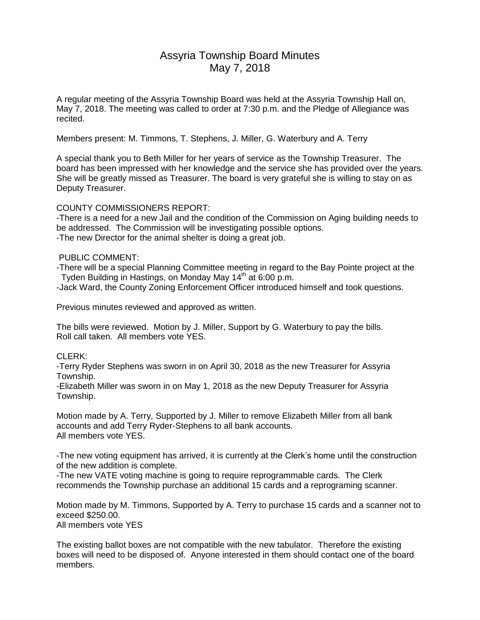# Assyria Township Board Minutes May 7, 2018

A regular meeting of the Assyria Township Board was held at the Assyria Township Hall on, May 7, 2018. The meeting was called to order at 7:30 p.m. and the Pledge of Allegiance was recited.

Members present: M. Timmons, T. Stephens, J. Miller, G. Waterbury and A. Terry

A special thank you to Beth Miller for her years of service as the Township Treasurer. The board has been impressed with her knowledge and the service she has provided over the years. She will be greatly missed as Treasurer. The board is very grateful she is willing to stay on as Deputy Treasurer.

### COUNTY COMMISSIONERS REPORT:

-There is a need for a new Jail and the condition of the Commission on Aging building needs to be addressed. The Commission will be investigating possible options. -The new Director for the animal shelter is doing a great job.

### PUBLIC COMMENT:

-There will be a special Planning Committee meeting in regard to the Bay Pointe project at the Tyden Building in Hastings, on Monday May 14<sup>th</sup> at 6:00 p.m.

-Jack Ward, the County Zoning Enforcement Officer introduced himself and took questions.

Previous minutes reviewed and approved as written.

The bills were reviewed. Motion by J. Miller, Support by G. Waterbury to pay the bills. Roll call taken. All members vote YES.

# CLERK<sup>.</sup>

-Terry Ryder Stephens was sworn in on April 30, 2018 as the new Treasurer for Assyria Township.

-Elizabeth Miller was sworn in on May 1, 2018 as the new Deputy Treasurer for Assyria Township.

Motion made by A. Terry, Supported by J. Miller to remove Elizabeth Miller from all bank accounts and add Terry Ryder-Stephens to all bank accounts. All members vote YES.

-The new voting equipment has arrived, it is currently at the Clerk's home until the construction of the new addition is complete.

-The new VATE voting machine is going to require reprogrammable cards. The Clerk recommends the Township purchase an additional 15 cards and a reprograming scanner.

Motion made by M. Timmons, Supported by A. Terry to purchase 15 cards and a scanner not to exceed \$250.00. All members vote YES

The existing ballot boxes are not compatible with the new tabulator. Therefore the existing boxes will need to be disposed of. Anyone interested in them should contact one of the board members.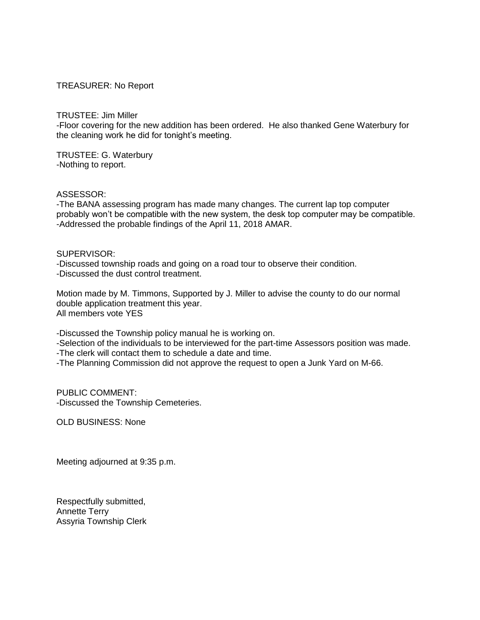## TREASURER: No Report

TRUSTEE: Jim Miller

-Floor covering for the new addition has been ordered. He also thanked Gene Waterbury for the cleaning work he did for tonight's meeting.

TRUSTEE: G. Waterbury -Nothing to report.

ASSESSOR:

-The BANA assessing program has made many changes. The current lap top computer probably won't be compatible with the new system, the desk top computer may be compatible. -Addressed the probable findings of the April 11, 2018 AMAR.

## SUPERVISOR:

-Discussed township roads and going on a road tour to observe their condition. -Discussed the dust control treatment.

Motion made by M. Timmons, Supported by J. Miller to advise the county to do our normal double application treatment this year. All members vote YES

-Discussed the Township policy manual he is working on.

-Selection of the individuals to be interviewed for the part-time Assessors position was made.

-The clerk will contact them to schedule a date and time.

-The Planning Commission did not approve the request to open a Junk Yard on M-66.

PUBLIC COMMENT: -Discussed the Township Cemeteries.

OLD BUSINESS: None

Meeting adjourned at 9:35 p.m.

Respectfully submitted, Annette Terry Assyria Township Clerk